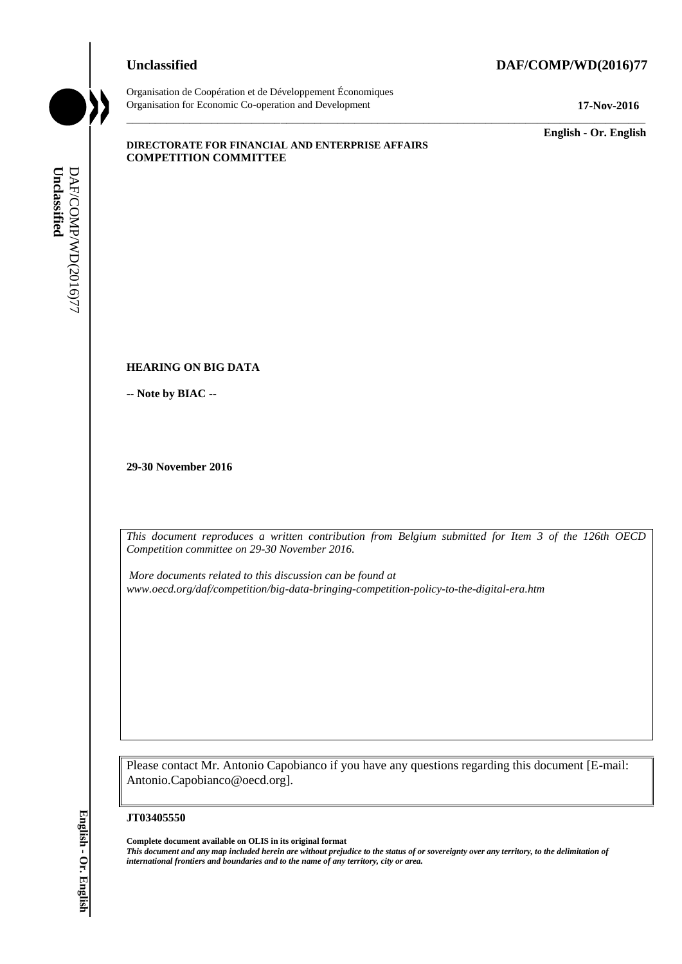# **Unclassified DAF/COMP/WD(2016)77**



Organisation de Coopération et de Développement Économiques Organisation for Economic Co-operation and Development **17-Nov-2016**

\_\_\_\_\_\_\_\_\_\_\_\_\_ **English - Or. English**

#### **DIRECTORATE FOR FINANCIAL AND ENTERPRISE AFFAIRS COMPETITION COMMITTEE**

#### **HEARING ON BIG DATA**

**-- Note by BIAC --**

**29-30 November 2016**

*This document reproduces a written contribution from Belgium submitted for Item 3 of the 126th OECD Competition committee on 29-30 November 2016.*

\_\_\_\_\_\_\_\_\_\_\_\_\_\_\_\_\_\_\_\_\_\_\_\_\_\_\_\_\_\_\_\_\_\_\_\_\_\_\_\_\_\_\_\_\_\_\_\_\_\_\_\_\_\_\_\_\_\_\_\_\_\_\_\_\_\_\_\_\_\_\_\_\_\_\_\_\_\_\_\_\_\_\_\_\_\_\_\_\_\_\_

*More documents related to this discussion can be found at www.oecd.org/daf/competition/big-data-bringing-competition-policy-to-the-digital-era.htm*

Please contact Mr. Antonio Capobianco if you have any questions regarding this document [E-mail: Antonio.Capobianco@oecd.org].

#### **JT03405550**

**Complete document available on OLIS in its original format** *This document and any map included herein are without prejudice to the status of or sovereignty over any territory, to the delimitation of*  **iii** *international frontiers and boundaries and boundaries and boundaries and boundaries and boundaries and boundaries and boundaries and boundaries and boundaries and boundaries and boundary <i>Competitions consistentiall*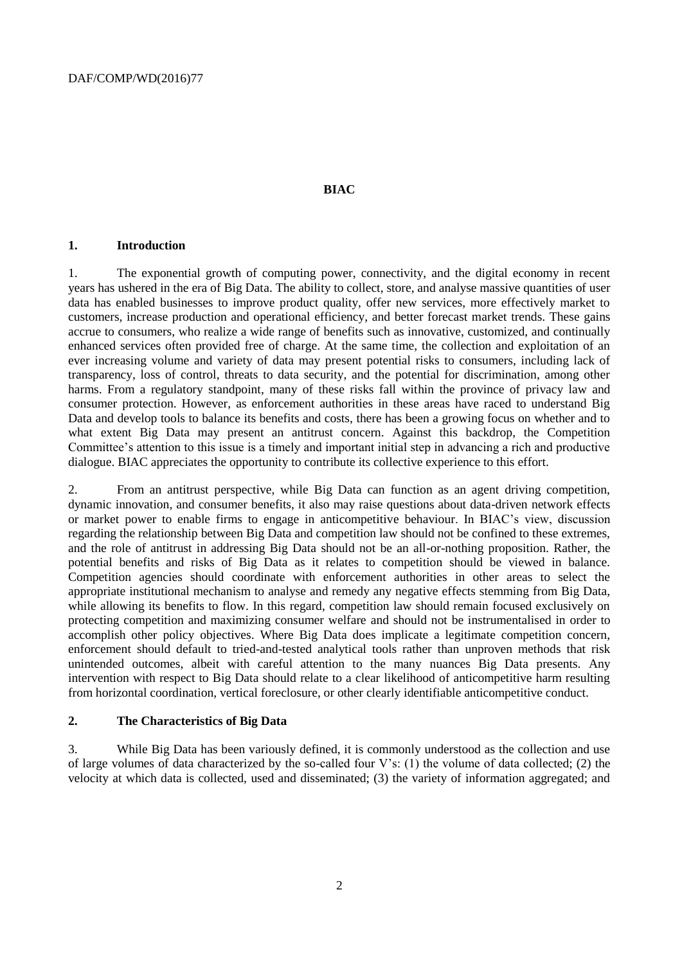#### **BIAC**

#### **1. Introduction**

1. The exponential growth of computing power, connectivity, and the digital economy in recent years has ushered in the era of Big Data. The ability to collect, store, and analyse massive quantities of user data has enabled businesses to improve product quality, offer new services, more effectively market to customers, increase production and operational efficiency, and better forecast market trends. These gains accrue to consumers, who realize a wide range of benefits such as innovative, customized, and continually enhanced services often provided free of charge. At the same time, the collection and exploitation of an ever increasing volume and variety of data may present potential risks to consumers, including lack of transparency, loss of control, threats to data security, and the potential for discrimination, among other harms. From a regulatory standpoint, many of these risks fall within the province of privacy law and consumer protection. However, as enforcement authorities in these areas have raced to understand Big Data and develop tools to balance its benefits and costs, there has been a growing focus on whether and to what extent Big Data may present an antitrust concern. Against this backdrop, the Competition Committee's attention to this issue is a timely and important initial step in advancing a rich and productive dialogue. BIAC appreciates the opportunity to contribute its collective experience to this effort.

2. From an antitrust perspective, while Big Data can function as an agent driving competition, dynamic innovation, and consumer benefits, it also may raise questions about data-driven network effects or market power to enable firms to engage in anticompetitive behaviour. In BIAC's view, discussion regarding the relationship between Big Data and competition law should not be confined to these extremes, and the role of antitrust in addressing Big Data should not be an all-or-nothing proposition. Rather, the potential benefits and risks of Big Data as it relates to competition should be viewed in balance. Competition agencies should coordinate with enforcement authorities in other areas to select the appropriate institutional mechanism to analyse and remedy any negative effects stemming from Big Data, while allowing its benefits to flow. In this regard, competition law should remain focused exclusively on protecting competition and maximizing consumer welfare and should not be instrumentalised in order to accomplish other policy objectives. Where Big Data does implicate a legitimate competition concern, enforcement should default to tried-and-tested analytical tools rather than unproven methods that risk unintended outcomes, albeit with careful attention to the many nuances Big Data presents. Any intervention with respect to Big Data should relate to a clear likelihood of anticompetitive harm resulting from horizontal coordination, vertical foreclosure, or other clearly identifiable anticompetitive conduct.

# **2. The Characteristics of Big Data**

3. While Big Data has been variously defined, it is commonly understood as the collection and use of large volumes of data characterized by the so-called four V's: (1) the volume of data collected; (2) the velocity at which data is collected, used and disseminated; (3) the variety of information aggregated; and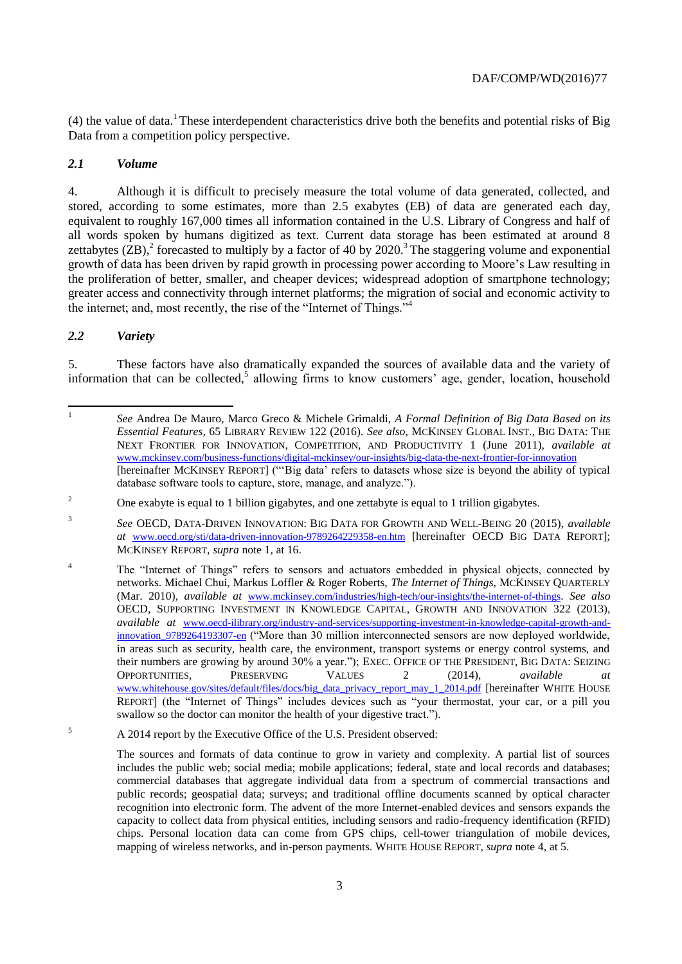(4) the value of data.<sup>1</sup> These interdependent characteristics drive both the benefits and potential risks of Big Data from a competition policy perspective.

# *2.1 Volume*

4. Although it is difficult to precisely measure the total volume of data generated, collected, and stored, according to some estimates, more than 2.5 exabytes (EB) of data are generated each day, equivalent to roughly 167,000 times all information contained in the U.S. Library of Congress and half of all words spoken by humans digitized as text. Current data storage has been estimated at around 8 zettabytes  $(ZB)$ , forecasted to multiply by a factor of 40 by 2020.<sup>3</sup> The staggering volume and exponential growth of data has been driven by rapid growth in processing power according to Moore's Law resulting in the proliferation of better, smaller, and cheaper devices; widespread adoption of smartphone technology; greater access and connectivity through internet platforms; the migration of social and economic activity to the internet; and, most recently, the rise of the "Internet of Things."<sup>4</sup>

# *2.2 Variety*

5. These factors have also dramatically expanded the sources of available data and the variety of information that can be collected,<sup>5</sup> allowing firms to know customers' age, gender, location, household

<sup>5</sup> A 2014 report by the Executive Office of the U.S. President observed:

<sup>|&</sup>lt;br>|<br>| *See* Andrea De Mauro, Marco Greco & Michele Grimaldi, *A Formal Definition of Big Data Based on its Essential Features,* 65 LIBRARY REVIEW 122 (2016)*. See also,* MCKINSEY GLOBAL INST., BIG DATA: THE NEXT FRONTIER FOR INNOVATION, COMPETITION, AND PRODUCTIVITY 1 (June 2011), *available at* [www.mckinsey.com/business-functions/digital-mckinsey/our-insights/big-data-the-next-frontier-for-innovation](http://www.mckinsey.com/business-functions/digital-mckinsey/our-insights/big-data-the-next-frontier-for-innovation) [hereinafter MCKINSEY REPORT] ("'Big data' refers to datasets whose size is beyond the ability of typical database software tools to capture, store, manage, and analyze.").

<sup>&</sup>lt;sup>2</sup> One exabyte is equal to 1 billion gigabytes, and one zettabyte is equal to 1 trillion gigabytes.

<sup>3</sup> *See* OECD, DATA-DRIVEN INNOVATION: BIG DATA FOR GROWTH AND WELL-BEING 20 (2015), *available at* [www.oecd.org/sti/data-driven-innovation-9789264229358-en.htm](http://www.oecd.org/sti/data-driven-innovation-9789264229358-en.htm) [hereinafter OECD BIG DATA REPORT]; MCKINSEY REPORT, *supra* note 1, at 16.

<sup>&</sup>lt;sup>4</sup> The "Internet of Things" refers to sensors and actuators embedded in physical objects, connected by networks. Michael Chui, Markus Loffler & Roger Roberts, *The Internet of Things,* MCKINSEY QUARTERLY (Mar. 2010), *available at* [www.mckinsey.com/industries/high-tech/our-insights/the-internet-of-things](http://www.mckinsey.com/industries/high-tech/our-insights/the-internet-of-things). *See also*  OECD, SUPPORTING INVESTMENT IN KNOWLEDGE CAPITAL, GROWTH AND INNOVATION 322 (2013), *available at* [www.oecd-ilibrary.org/industry-and-services/supporting-investment-in-knowledge-capital-growth-and](http://www.oecd-ilibrary.org/industry-and-services/supporting-investment-in-knowledge-capital-growth-and-innovation_9789264193307-en)[innovation\\_9789264193307-en](http://www.oecd-ilibrary.org/industry-and-services/supporting-investment-in-knowledge-capital-growth-and-innovation_9789264193307-en) ("More than 30 million interconnected sensors are now deployed worldwide, in areas such as security, health care, the environment, transport systems or energy control systems, and their numbers are growing by around 30% a year."); EXEC. OFFICE OF THE PRESIDENT, BIG DATA: SEIZING OPPORTUNITIES, PRESERVING VALUES 2 (2014), *available at* [www.whitehouse.gov/sites/default/files/docs/big\\_data\\_privacy\\_report\\_may\\_1\\_2014.pdf](http://www.whitehouse.gov/sites/default/files/docs/big_data_privacy_report_may_1_2014.pdf) [hereinafter WHITE HOUSE REPORT] (the "Internet of Things" includes devices such as "your thermostat, your car, or a pill you swallow so the doctor can monitor the health of your digestive tract.").

The sources and formats of data continue to grow in variety and complexity. A partial list of sources includes the public web; social media; mobile applications; federal, state and local records and databases; commercial databases that aggregate individual data from a spectrum of commercial transactions and public records; geospatial data; surveys; and traditional offline documents scanned by optical character recognition into electronic form. The advent of the more Internet-enabled devices and sensors expands the capacity to collect data from physical entities, including sensors and radio-frequency identification (RFID) chips. Personal location data can come from GPS chips, cell-tower triangulation of mobile devices, mapping of wireless networks, and in-person payments. WHITE HOUSE REPORT, *supra* note 4, at 5.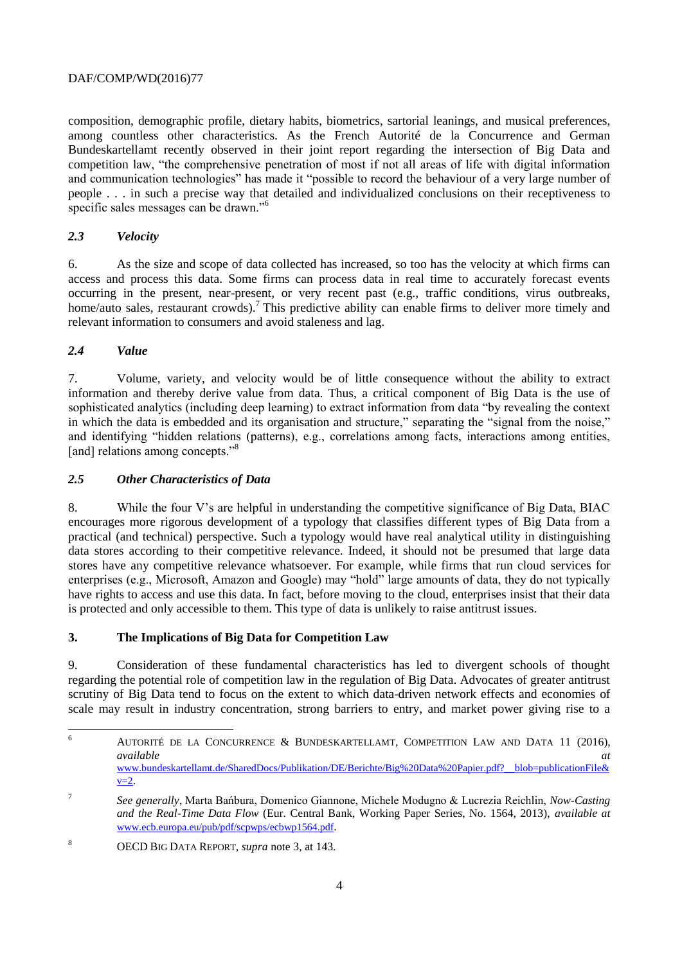composition, demographic profile, dietary habits, biometrics, sartorial leanings, and musical preferences, among countless other characteristics. As the French Autorité de la Concurrence and German Bundeskartellamt recently observed in their joint report regarding the intersection of Big Data and competition law, "the comprehensive penetration of most if not all areas of life with digital information and communication technologies" has made it "possible to record the behaviour of a very large number of people . . . in such a precise way that detailed and individualized conclusions on their receptiveness to specific sales messages can be drawn."<sup>6</sup>

# *2.3 Velocity*

6. As the size and scope of data collected has increased, so too has the velocity at which firms can access and process this data. Some firms can process data in real time to accurately forecast events occurring in the present, near-present, or very recent past (e.g., traffic conditions, virus outbreaks, home/auto sales, restaurant crowds).<sup>7</sup> This predictive ability can enable firms to deliver more timely and relevant information to consumers and avoid staleness and lag.

# *2.4 Value*

7. Volume, variety, and velocity would be of little consequence without the ability to extract information and thereby derive value from data. Thus, a critical component of Big Data is the use of sophisticated analytics (including deep learning) to extract information from data "by revealing the context in which the data is embedded and its organisation and structure," separating the "signal from the noise," and identifying "hidden relations (patterns), e.g., correlations among facts, interactions among entities, [and] relations among concepts."<sup>8</sup>

# *2.5 Other Characteristics of Data*

8. While the four V's are helpful in understanding the competitive significance of Big Data, BIAC encourages more rigorous development of a typology that classifies different types of Big Data from a practical (and technical) perspective. Such a typology would have real analytical utility in distinguishing data stores according to their competitive relevance. Indeed, it should not be presumed that large data stores have any competitive relevance whatsoever. For example, while firms that run cloud services for enterprises (e.g., Microsoft, Amazon and Google) may "hold" large amounts of data, they do not typically have rights to access and use this data. In fact, before moving to the cloud, enterprises insist that their data is protected and only accessible to them. This type of data is unlikely to raise antitrust issues.

#### **3. The Implications of Big Data for Competition Law**

9. Consideration of these fundamental characteristics has led to divergent schools of thought regarding the potential role of competition law in the regulation of Big Data. Advocates of greater antitrust scrutiny of Big Data tend to focus on the extent to which data-driven network effects and economies of scale may result in industry concentration, strong barriers to entry, and market power giving rise to a

<sup>6</sup> <sup>6</sup> AUTORITÉ DE LA CONCURRENCE & BUNDESKARTELLAMT, COMPETITION LAW AND DATA 11 (2016), *available at* [www.bundeskartellamt.de/SharedDocs/Publikation/DE/Berichte/Big%20Data%20Papier.pdf?\\_\\_blob=publicationFile&](http://www.bundeskartellamt.de/SharedDocs/Publikation/DE/Berichte/Big%20Data%20Papier.pdf?__blob=publicationFile&v=2)  $v=2$ .

<sup>7</sup> *See generally*, Marta Bańbura, Domenico Giannone, Michele Modugno & Lucrezia Reichlin, *Now-Casting and the Real-Time Data Flow* (Eur. Central Bank, Working Paper Series, No. 1564, 2013), *available at* [www.ecb.europa.eu/pub/pdf/scpwps/ecbwp1564.pdf](http://www.ecb.europa.eu/pub/pdf/scpwps/ecbwp1564.pdf).

<sup>8</sup> OECD BIG DATA REPORT, *supra* note 3, at 143.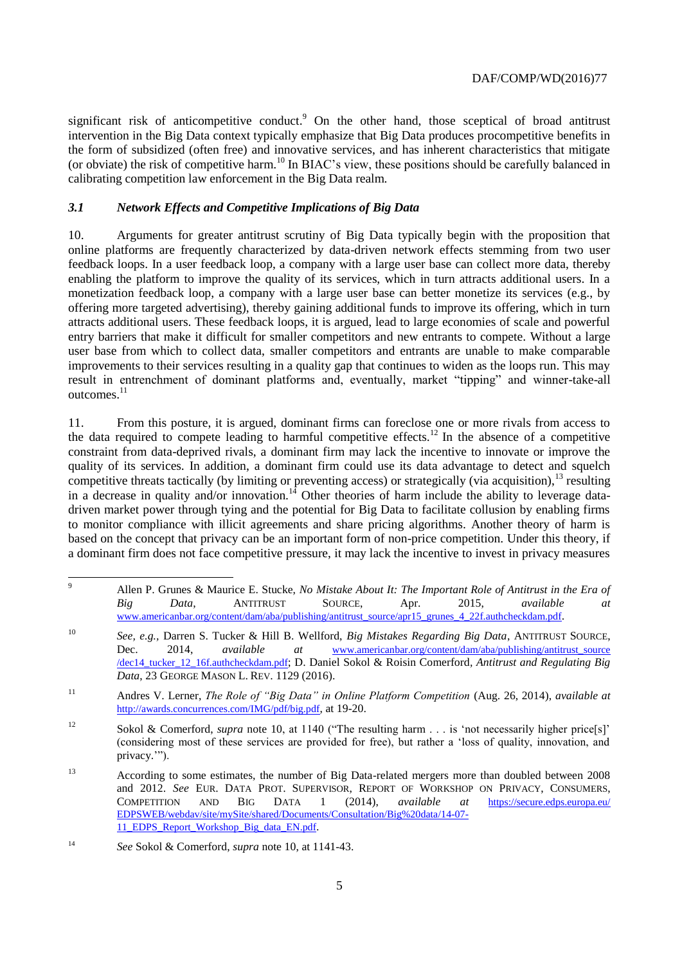significant risk of anticompetitive conduct.<sup>9</sup> On the other hand, those sceptical of broad antitrust intervention in the Big Data context typically emphasize that Big Data produces procompetitive benefits in the form of subsidized (often free) and innovative services, and has inherent characteristics that mitigate (or obviate) the risk of competitive harm.<sup>10</sup> In BIAC's view, these positions should be carefully balanced in calibrating competition law enforcement in the Big Data realm.

#### <span id="page-4-0"></span>*3.1 Network Effects and Competitive Implications of Big Data*

10. Arguments for greater antitrust scrutiny of Big Data typically begin with the proposition that online platforms are frequently characterized by data-driven network effects stemming from two user feedback loops. In a user feedback loop, a company with a large user base can collect more data, thereby enabling the platform to improve the quality of its services, which in turn attracts additional users. In a monetization feedback loop, a company with a large user base can better monetize its services (e.g., by offering more targeted advertising), thereby gaining additional funds to improve its offering, which in turn attracts additional users. These feedback loops, it is argued, lead to large economies of scale and powerful entry barriers that make it difficult for smaller competitors and new entrants to compete. Without a large user base from which to collect data, smaller competitors and entrants are unable to make comparable improvements to their services resulting in a quality gap that continues to widen as the loops run. This may result in entrenchment of dominant platforms and, eventually, market "tipping" and winner-take-all outcomes.<sup>11</sup>

11. From this posture, it is argued, dominant firms can foreclose one or more rivals from access to the data required to compete leading to harmful competitive effects.<sup>12</sup> In the absence of a competitive constraint from data-deprived rivals, a dominant firm may lack the incentive to innovate or improve the quality of its services. In addition, a dominant firm could use its data advantage to detect and squelch competitive threats tactically (by limiting or preventing access) or strategically (via acquisition),  $^{13}$  resulting in a decrease in quality and/or innovation.<sup>14</sup> Other theories of harm include the ability to leverage datadriven market power through tying and the potential for Big Data to facilitate collusion by enabling firms to monitor compliance with illicit agreements and share pricing algorithms. Another theory of harm is based on the concept that privacy can be an important form of non-price competition. Under this theory, if a dominant firm does not face competitive pressure, it may lack the incentive to invest in privacy measures

 $\overline{Q}$ <sup>9</sup> Allen P. Grunes & Maurice E. Stucke, *No Mistake About It: The Important Role of Antitrust in the Era of Big Data*, ANTITRUST SOURCE, Apr. 2015, *available at* [www.americanbar.org/content/dam/aba/publishing/antitrust\\_source/apr15\\_grunes\\_4\\_22f.authcheckdam.pdf](http://www.americanbar.org/content/dam/aba/publishing/antitrust_source/apr15_grunes_4_22f.authcheckdam.pdf).

<sup>10</sup> *See, e.g.,* Darren S. Tucker & Hill B. Wellford, *Big Mistakes Regarding Big Data*, ANTITRUST SOURCE, Dec. 2014, *available at* [www.americanbar.org/content/dam/aba/publishing/antitrust\\_source](http://www.americanbar.org/content/dam/aba/publishing/antitrust_source/dec14_tucker_12_16f.authcheckdam.pdf) [/dec14\\_tucker\\_12\\_16f.authcheckdam.pdf](http://www.americanbar.org/content/dam/aba/publishing/antitrust_source/dec14_tucker_12_16f.authcheckdam.pdf); D. Daniel Sokol & Roisin Comerford*, Antitrust and Regulating Big Data*, 23 GEORGE MASON L. REV. 1129 (2016).

<sup>11</sup> Andres V. Lerner, *The Role of "Big Data" in Online Platform Competition* (Aug. 26, 2014), *available at* <http://awards.concurrences.com/IMG/pdf/big.pdf>, at 19-20.

<sup>&</sup>lt;sup>12</sup> Sokol & Comerford, *supra* note 10, at 1140 ("The resulting harm . . . is 'not necessarily higher price[s]' (considering most of these services are provided for free), but rather a 'loss of quality, innovation, and privacy.'").

<sup>13</sup> According to some estimates, the number of Big Data-related mergers more than doubled between 2008 and 2012. *See* EUR. DATA PROT. SUPERVISOR, REPORT OF WORKSHOP ON PRIVACY, CONSUMERS, COMPETITION AND BIG DATA 1 (2014), *available at* [https://secure.edps.europa.eu/](https://secure.edps.europa.eu/EDPSWEB/webdav/site/mySite/shared/Documents/Consultation/Big%20data/14-07-11_EDPS_Report_Workshop_Big_data_EN.pdf) [EDPSWEB/webdav/site/mySite/shared/Documents/Consultation/Big%20data/14-07-](https://secure.edps.europa.eu/EDPSWEB/webdav/site/mySite/shared/Documents/Consultation/Big%20data/14-07-11_EDPS_Report_Workshop_Big_data_EN.pdf) [11\\_EDPS\\_Report\\_Workshop\\_Big\\_data\\_EN.pdf](https://secure.edps.europa.eu/EDPSWEB/webdav/site/mySite/shared/Documents/Consultation/Big%20data/14-07-11_EDPS_Report_Workshop_Big_data_EN.pdf).

<sup>14</sup> *See* Sokol & Comerford, *supra* note 10, at 1141-43.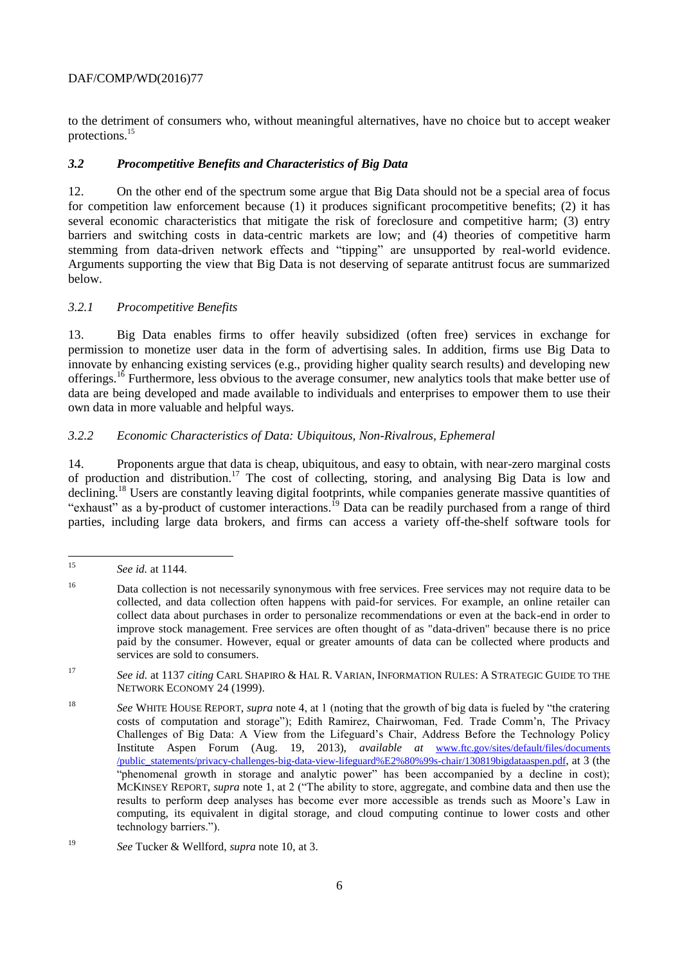to the detriment of consumers who, without meaningful alternatives, have no choice but to accept weaker protections.<sup>15</sup>

# *3.2 Procompetitive Benefits and Characteristics of Big Data*

12. On the other end of the spectrum some argue that Big Data should not be a special area of focus for competition law enforcement because (1) it produces significant procompetitive benefits; (2) it has several economic characteristics that mitigate the risk of foreclosure and competitive harm; (3) entry barriers and switching costs in data-centric markets are low; and (4) theories of competitive harm stemming from data-driven network effects and "tipping" are unsupported by real-world evidence. Arguments supporting the view that Big Data is not deserving of separate antitrust focus are summarized below.

# *3.2.1 Procompetitive Benefits*

13. Big Data enables firms to offer heavily subsidized (often free) services in exchange for permission to monetize user data in the form of advertising sales. In addition, firms use Big Data to innovate by enhancing existing services (e.g., providing higher quality search results) and developing new offerings.<sup>16</sup> Furthermore, less obvious to the average consumer, new analytics tools that make better use of data are being developed and made available to individuals and enterprises to empower them to use their own data in more valuable and helpful ways.

# *3.2.2 Economic Characteristics of Data: Ubiquitous, Non-Rivalrous, Ephemeral*

14. Proponents argue that data is cheap, ubiquitous, and easy to obtain, with near-zero marginal costs of production and distribution.<sup>17</sup> The cost of collecting, storing, and analysing Big Data is low and declining.<sup>18</sup> Users are constantly leaving digital footprints, while companies generate massive quantities of "exhaust" as a by-product of customer interactions.<sup>19</sup> Data can be readily purchased from a range of third parties, including large data brokers, and firms can access a variety off-the-shelf software tools for

<sup>17</sup> *See id.* at 1137 *citing* CARL SHAPIRO & HAL R. VARIAN, INFORMATION RULES: A STRATEGIC GUIDE TO THE NETWORK ECONOMY 24 (1999).

<sup>18</sup> *See* WHITE HOUSE REPORT, *supra* note 4, at 1 (noting that the growth of big data is fueled by "the cratering costs of computation and storage"); Edith Ramirez, Chairwoman, Fed. Trade Comm'n, The Privacy Challenges of Big Data: A View from the Lifeguard's Chair, Address Before the Technology Policy Institute Aspen Forum (Aug. 19, 2013), *available at* [www.ftc.gov/sites/default/files/documents](http://www.ftc.gov/sites/default/files/documents/public_statements/privacy-challenges-big-data-view-lifeguard%E2%80%99s-chair/130819bigdataaspen.pdf) [/public\\_statements/privacy-challenges-big-data-view-lifeguard%E2%80%99s-chair/130819bigdataaspen.pdf](http://www.ftc.gov/sites/default/files/documents/public_statements/privacy-challenges-big-data-view-lifeguard%E2%80%99s-chair/130819bigdataaspen.pdf), at 3 (the "phenomenal growth in storage and analytic power" has been accompanied by a decline in cost); MCKINSEY REPORT, *supra* note 1, at 2 ("The ability to store, aggregate, and combine data and then use the results to perform deep analyses has become ever more accessible as trends such as Moore's Law in computing, its equivalent in digital storage, and cloud computing continue to lower costs and other technology barriers.").

 $15$ <sup>15</sup> *See id.* at 1144.

<sup>16</sup> Data collection is not necessarily synonymous with free services. Free services may not require data to be collected, and data collection often happens with paid-for services. For example, an online retailer can collect data about purchases in order to personalize recommendations or even at the back-end in order to improve stock management. Free services are often thought of as "data-driven" because there is no price paid by the consumer. However, equal or greater amounts of data can be collected where products and services are sold to consumers.

<sup>19</sup> *See* Tucker & Wellford, *supra* note 10, at 3.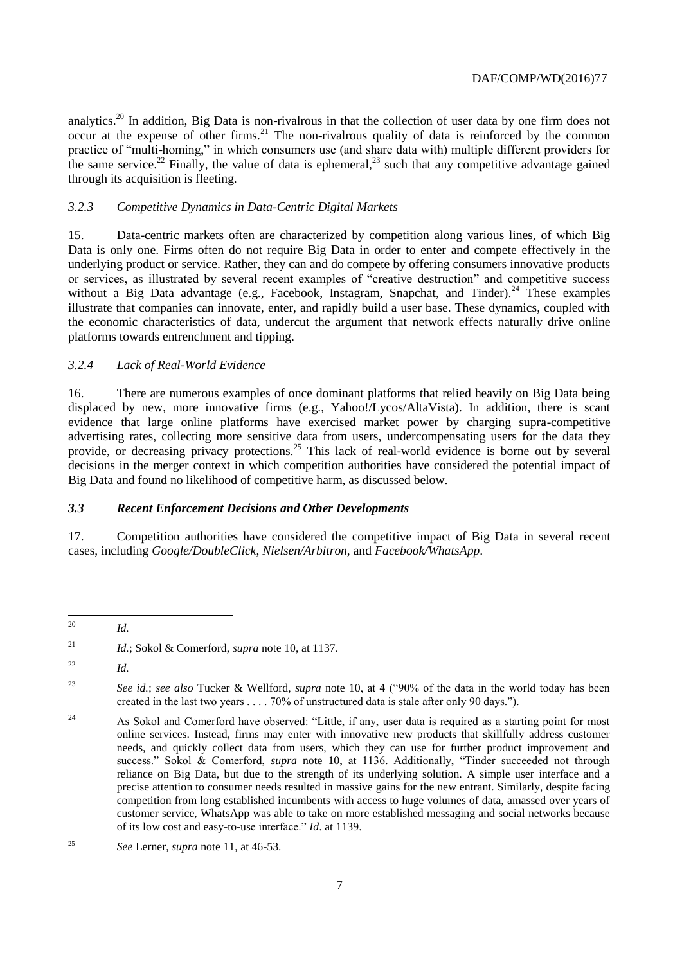analytics.<sup>20</sup> In addition, Big Data is non-rivalrous in that the collection of user data by one firm does not occur at the expense of other firms.<sup>21</sup> The non-rivalrous quality of data is reinforced by the common practice of "multi-homing," in which consumers use (and share data with) multiple different providers for the same service.<sup>22</sup> Finally, the value of data is ephemeral,<sup>23</sup> such that any competitive advantage gained through its acquisition is fleeting.

#### *3.2.3 Competitive Dynamics in Data-Centric Digital Markets*

15. Data-centric markets often are characterized by competition along various lines, of which Big Data is only one. Firms often do not require Big Data in order to enter and compete effectively in the underlying product or service. Rather, they can and do compete by offering consumers innovative products or services, as illustrated by several recent examples of "creative destruction" and competitive success without a Big Data advantage (e.g., Facebook, Instagram, Snapchat, and Tinder).<sup>24</sup> These examples illustrate that companies can innovate, enter, and rapidly build a user base. These dynamics, coupled with the economic characteristics of data, undercut the argument that network effects naturally drive online platforms towards entrenchment and tipping.

# *3.2.4 Lack of Real-World Evidence*

16. There are numerous examples of once dominant platforms that relied heavily on Big Data being displaced by new, more innovative firms (e.g., Yahoo!/Lycos/AltaVista). In addition, there is scant evidence that large online platforms have exercised market power by charging supra-competitive advertising rates, collecting more sensitive data from users, undercompensating users for the data they provide, or decreasing privacy protections.<sup>25</sup> This lack of real-world evidence is borne out by several decisions in the merger context in which competition authorities have considered the potential impact of Big Data and found no likelihood of competitive harm, as discussed below.

#### *3.3 Recent Enforcement Decisions and Other Developments*

17. Competition authorities have considered the competitive impact of Big Data in several recent cases, including *Google/DoubleClick*, *Nielsen/Arbitron*, and *Facebook/WhatsApp*.

 $20^{\circ}$ <sup>20</sup> *Id.* 

<sup>21</sup> *Id.*; Sokol & Comerford, *supra* note 10, at 1137.

<sup>22</sup> *Id.*

<sup>23</sup> *See id.*; *see also* Tucker & Wellford, *supra* note 10, at 4 ("90% of the data in the world today has been created in the last two years . . . . 70% of unstructured data is stale after only 90 days.").

<sup>&</sup>lt;sup>24</sup> As Sokol and Comerford have observed: "Little, if any, user data is required as a starting point for most online services. Instead, firms may enter with innovative new products that skillfully address customer needs, and quickly collect data from users, which they can use for further product improvement and success." Sokol & Comerford, *supra* note 10, at 1136. Additionally, "Tinder succeeded not through reliance on Big Data, but due to the strength of its underlying solution. A simple user interface and a precise attention to consumer needs resulted in massive gains for the new entrant. Similarly, despite facing competition from long established incumbents with access to huge volumes of data, amassed over years of customer service, WhatsApp was able to take on more established messaging and social networks because of its low cost and easy-to-use interface." *Id*. at 1139.

<sup>25</sup> *See* Lerner, *supra* note 11, at 46-53.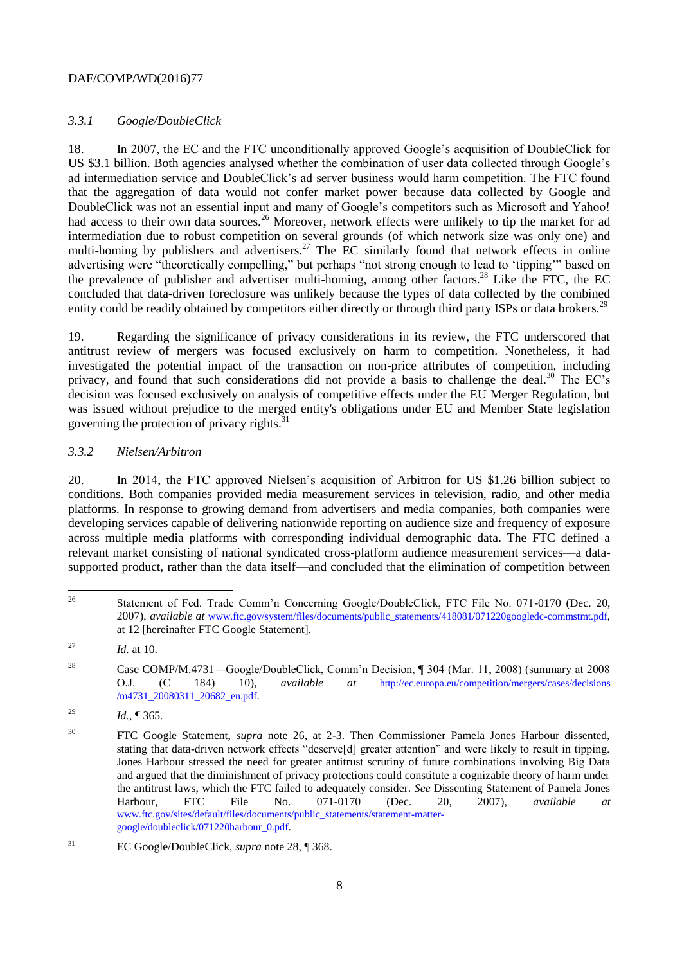# *3.3.1 Google/DoubleClick*

<span id="page-7-0"></span>18. In 2007, the EC and the FTC unconditionally approved Google's acquisition of DoubleClick for US \$3.1 billion. Both agencies analysed whether the combination of user data collected through Google's ad intermediation service and DoubleClick's ad server business would harm competition. The FTC found that the aggregation of data would not confer market power because data collected by Google and DoubleClick was not an essential input and many of Google's competitors such as Microsoft and Yahoo! had access to their own data sources.<sup>26</sup> Moreover, network effects were unlikely to tip the market for ad intermediation due to robust competition on several grounds (of which network size was only one) and multi-homing by publishers and advertisers.<sup>27</sup> The EC similarly found that network effects in online advertising were "theoretically compelling," but perhaps "not strong enough to lead to 'tipping'" based on the prevalence of publisher and advertiser multi-homing, among other factors.<sup>28</sup> Like the FTC, the EC concluded that data-driven foreclosure was unlikely because the types of data collected by the combined entity could be readily obtained by competitors either directly or through third party ISPs or data brokers.<sup>29</sup>

<span id="page-7-1"></span>19. Regarding the significance of privacy considerations in its review, the FTC underscored that antitrust review of mergers was focused exclusively on harm to competition. Nonetheless, it had investigated the potential impact of the transaction on non-price attributes of competition, including privacy, and found that such considerations did not provide a basis to challenge the deal.<sup>30</sup> The EC's decision was focused exclusively on analysis of competitive effects under the EU Merger Regulation, but was issued without prejudice to the merged entity's obligations under EU and Member State legislation governing the protection of privacy rights.<sup>31</sup>

#### *3.3.2 Nielsen/Arbitron*

20. In 2014, the FTC approved Nielsen's acquisition of Arbitron for US \$1.26 billion subject to conditions. Both companies provided media measurement services in television, radio, and other media platforms. In response to growing demand from advertisers and media companies, both companies were developing services capable of delivering nationwide reporting on audience size and frequency of exposure across multiple media platforms with corresponding individual demographic data. The FTC defined a relevant market consisting of national syndicated cross-platform audience measurement services—a datasupported product, rather than the data itself—and concluded that the elimination of competition between

 $26$ <sup>26</sup> Statement of Fed. Trade Comm'n Concerning Google/DoubleClick, FTC File No. 071-0170 (Dec. 20, 2007), *available at* [www.ftc.gov/system/files/documents/public\\_statements/418081/071220googledc-commstmt.pdf](http://www.ftc.gov/system/files/documents/public_statements/418081/071220googledc-commstmt.pdf), at 12 [hereinafter FTC Google Statement].

<sup>27</sup> *Id.* at 10.

<sup>28</sup> Case COMP/M.4731—Google/DoubleClick, Comm'n Decision, ¶ 304 (Mar. 11, 2008) (summary at 2008 O.J. (C 184) 10), *available at* [http://ec.europa.eu/competition/mergers/cases/decisions](http://ec.europa.eu/competition/mergers/cases/decisions/m4731_20080311_20682_en.pdf) [/m4731\\_20080311\\_20682\\_en.pdf](http://ec.europa.eu/competition/mergers/cases/decisions/m4731_20080311_20682_en.pdf).

<sup>29</sup> *Id.*, ¶ 365.

<sup>&</sup>lt;sup>30</sup> FTC Google Statement, *supra* note [26,](#page-7-0) at 2-3. Then Commissioner Pamela Jones Harbour dissented, stating that data-driven network effects "deserve[d] greater attention" and were likely to result in tipping. Jones Harbour stressed the need for greater antitrust scrutiny of future combinations involving Big Data and argued that the diminishment of privacy protections could constitute a cognizable theory of harm under the antitrust laws, which the FTC failed to adequately consider. *See* Dissenting Statement of Pamela Jones Harbour, FTC File No. 071-0170 (Dec. 20, 2007), *available at* [www.ftc.gov/sites/default/files/documents/public\\_statements/statement-matter](http://www.ftc.gov/sites/default/files/documents/public_statements/statement-matter-google/doubleclick/071220harbour_0.pdf)[google/doubleclick/071220harbour\\_0.pdf](http://www.ftc.gov/sites/default/files/documents/public_statements/statement-matter-google/doubleclick/071220harbour_0.pdf).

<sup>31</sup> EC Google/DoubleClick, *supra* not[e 28,](#page-7-1) ¶ 368.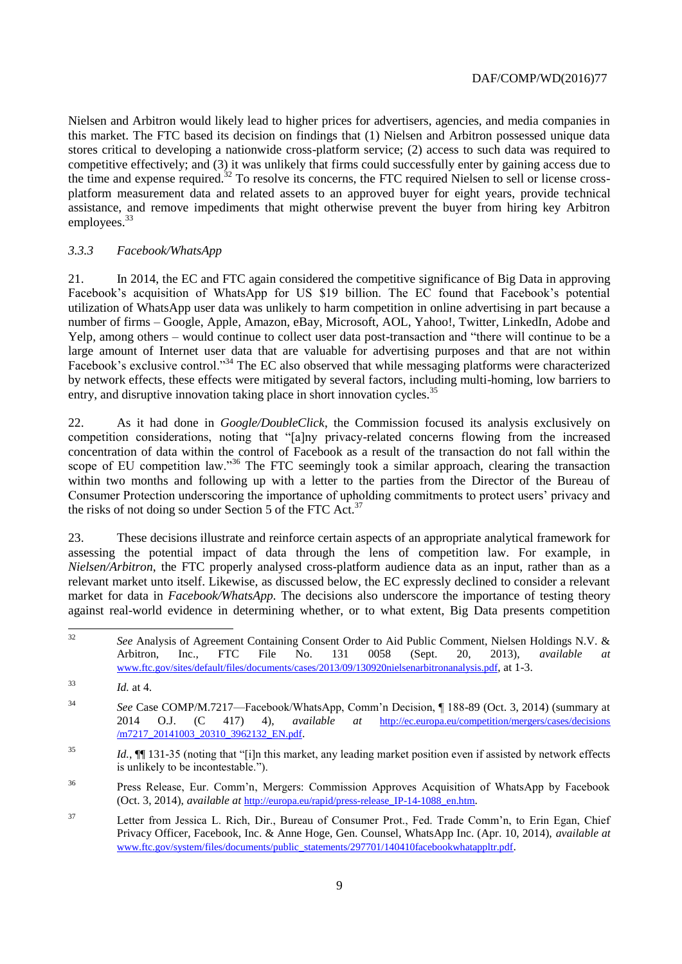Nielsen and Arbitron would likely lead to higher prices for advertisers, agencies, and media companies in this market. The FTC based its decision on findings that (1) Nielsen and Arbitron possessed unique data stores critical to developing a nationwide cross-platform service; (2) access to such data was required to competitive effectively; and (3) it was unlikely that firms could successfully enter by gaining access due to the time and expense required.<sup>32</sup> To resolve its concerns, the FTC required Nielsen to sell or license crossplatform measurement data and related assets to an approved buyer for eight years, provide technical assistance, and remove impediments that might otherwise prevent the buyer from hiring key Arbitron employees.<sup>33</sup>

# *3.3.3 Facebook/WhatsApp*

21. In 2014, the EC and FTC again considered the competitive significance of Big Data in approving Facebook's acquisition of WhatsApp for US \$19 billion. The EC found that Facebook's potential utilization of WhatsApp user data was unlikely to harm competition in online advertising in part because a number of firms – Google, Apple, Amazon, eBay, Microsoft, AOL, Yahoo!, Twitter, LinkedIn, Adobe and Yelp, among others – would continue to collect user data post-transaction and "there will continue to be a large amount of Internet user data that are valuable for advertising purposes and that are not within Facebook's exclusive control."<sup>34</sup> The EC also observed that while messaging platforms were characterized by network effects, these effects were mitigated by several factors, including multi-homing, low barriers to entry, and disruptive innovation taking place in short innovation cycles.<sup>35</sup>

22. As it had done in *Google/DoubleClick*, the Commission focused its analysis exclusively on competition considerations, noting that "[a]ny privacy-related concerns flowing from the increased concentration of data within the control of Facebook as a result of the transaction do not fall within the scope of EU competition law."<sup>36</sup> The FTC seemingly took a similar approach, clearing the transaction within two months and following up with a letter to the parties from the Director of the Bureau of Consumer Protection underscoring the importance of upholding commitments to protect users' privacy and the risks of not doing so under Section 5 of the FTC Act.<sup>37</sup>

23. These decisions illustrate and reinforce certain aspects of an appropriate analytical framework for assessing the potential impact of data through the lens of competition law. For example, in *Nielsen/Arbitron*, the FTC properly analysed cross-platform audience data as an input, rather than as a relevant market unto itself. Likewise, as discussed below, the EC expressly declined to consider a relevant market for data in *Facebook/WhatsApp.* The decisions also underscore the importance of testing theory against real-world evidence in determining whether, or to what extent, Big Data presents competition

 $32$ <sup>32</sup> *See* Analysis of Agreement Containing Consent Order to Aid Public Comment, Nielsen Holdings N.V. & Arbitron, Inc., FTC File No. 131 0058 (Sept. 20, 2013), *available at* [www.ftc.gov/sites/default/files/documents/cases/2013/09/130920nielsenarbitronanalysis.pdf](http://www.ftc.gov/sites/default/files/documents/cases/2013/09/130920nielsenarbitronanalysis.pdf), at 1-3.

- <sup>35</sup> *Id.*, ¶¶ 131-35 (noting that "[i]n this market, any leading market position even if assisted by network effects is unlikely to be incontestable.").
- <sup>36</sup> Press Release, Eur. Comm'n, Mergers: Commission Approves Acquisition of WhatsApp by Facebook (Oct. 3, 2014), *available at* [http://europa.eu/rapid/press-release\\_IP-14-1088\\_en.htm](http://europa.eu/rapid/press-release_IP-14-1088_en.htm).
- <sup>37</sup> Letter from Jessica L. Rich, Dir., Bureau of Consumer Prot., Fed. Trade Comm'n, to Erin Egan, Chief Privacy Officer, Facebook, Inc. & Anne Hoge, Gen. Counsel, WhatsApp Inc. (Apr. 10, 2014), *available at* [www.ftc.gov/system/files/documents/public\\_statements/297701/140410facebookwhatappltr.pdf](http://www.ftc.gov/system/files/documents/public_statements/297701/140410facebookwhatappltr.pdf).

<sup>33</sup> *Id.* at 4.

<sup>34</sup> *See* Case COMP/M.7217—Facebook/WhatsApp, Comm'n Decision, ¶ 188-89 (Oct. 3, 2014) (summary at 2014 O.J. (C 417) 4), *available at* [http://ec.europa.eu/competition/mergers/cases/decisions](http://ec.europa.eu/competition/mergers/cases/decisions/m7217_20141003_20310_3962132_EN.pdf) [/m7217\\_20141003\\_20310\\_3962132\\_EN.pdf](http://ec.europa.eu/competition/mergers/cases/decisions/m7217_20141003_20310_3962132_EN.pdf).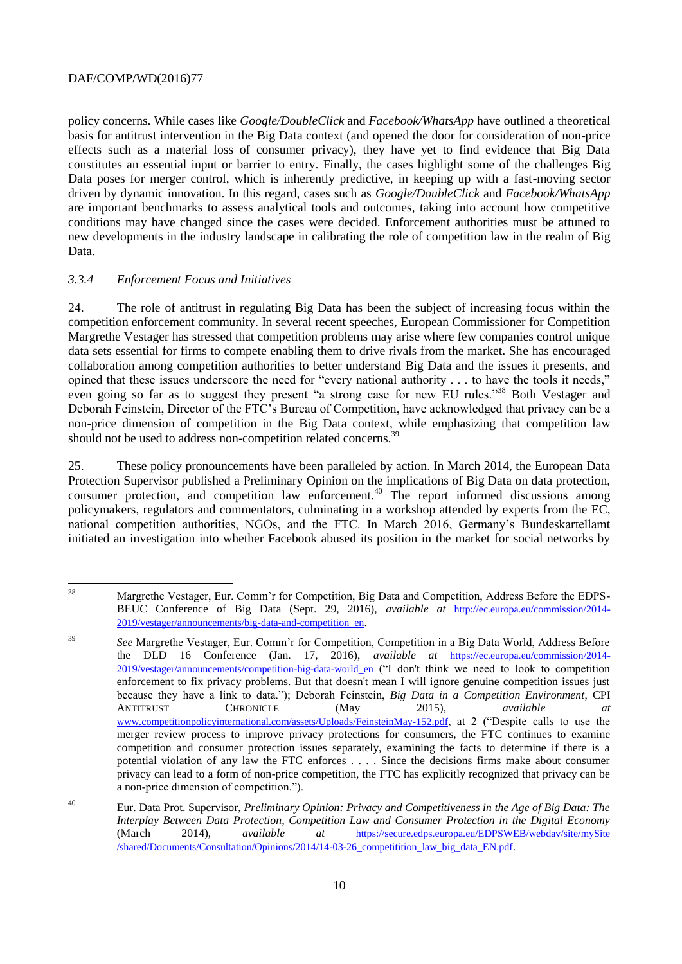policy concerns. While cases like *Google/DoubleClick* and *Facebook/WhatsApp* have outlined a theoretical basis for antitrust intervention in the Big Data context (and opened the door for consideration of non-price effects such as a material loss of consumer privacy), they have yet to find evidence that Big Data constitutes an essential input or barrier to entry. Finally, the cases highlight some of the challenges Big Data poses for merger control, which is inherently predictive, in keeping up with a fast-moving sector driven by dynamic innovation. In this regard, cases such as *Google/DoubleClick* and *Facebook/WhatsApp* are important benchmarks to assess analytical tools and outcomes, taking into account how competitive conditions may have changed since the cases were decided. Enforcement authorities must be attuned to new developments in the industry landscape in calibrating the role of competition law in the realm of Big Data.

#### *3.3.4 Enforcement Focus and Initiatives*

24. The role of antitrust in regulating Big Data has been the subject of increasing focus within the competition enforcement community. In several recent speeches, European Commissioner for Competition Margrethe Vestager has stressed that competition problems may arise where few companies control unique data sets essential for firms to compete enabling them to drive rivals from the market. She has encouraged collaboration among competition authorities to better understand Big Data and the issues it presents, and opined that these issues underscore the need for "every national authority . . . to have the tools it needs," even going so far as to suggest they present "a strong case for new EU rules."<sup>38</sup> Both Vestager and Deborah Feinstein, Director of the FTC's Bureau of Competition, have acknowledged that privacy can be a non-price dimension of competition in the Big Data context, while emphasizing that competition law should not be used to address non-competition related concerns.

25. These policy pronouncements have been paralleled by action. In March 2014, the European Data Protection Supervisor published a Preliminary Opinion on the implications of Big Data on data protection, consumer protection, and competition law enforcement.<sup>40</sup> The report informed discussions among policymakers, regulators and commentators, culminating in a workshop attended by experts from the EC, national competition authorities, NGOs, and the FTC. In March 2016, Germany's Bundeskartellamt initiated an investigation into whether Facebook abused its position in the market for social networks by

<sup>38</sup> <sup>38</sup> Margrethe Vestager, Eur. Comm'r for Competition, Big Data and Competition, Address Before the EDPS-BEUC Conference of Big Data (Sept. 29, 2016), *available at* [http://ec.europa.eu/commission/2014-](http://ec.europa.eu/commission/2014-2019/vestager/announcements/big-data-and-competition_en) [2019/vestager/announcements/big-data-and-competition\\_en](http://ec.europa.eu/commission/2014-2019/vestager/announcements/big-data-and-competition_en).

<sup>39</sup> *See* Margrethe Vestager, Eur. Comm'r for Competition, Competition in a Big Data World, Address Before the DLD 16 Conference (Jan. 17, 2016), *available at* [https://ec.europa.eu/commission/2014-](https://ec.europa.eu/commission/2014-2019/vestager/announcements/competition-big-data-world_en) [2019/vestager/announcements/competition-big-data-world\\_en](https://ec.europa.eu/commission/2014-2019/vestager/announcements/competition-big-data-world_en) ("I don't think we need to look to competition enforcement to fix privacy problems. But that doesn't mean I will ignore genuine competition issues just because they have a link to data."); Deborah Feinstein, *Big Data in a Competition Environment*, CPI ANTITRUST CHRONICLE (May 2015), *available at* [www.competitionpolicyinternational.com/assets/Uploads/FeinsteinMay-152.pdf](http://www.competitionpolicyinternational.com/assets/Uploads/FeinsteinMay-152.pdf), at 2 ("Despite calls to use the merger review process to improve privacy protections for consumers, the FTC continues to examine competition and consumer protection issues separately, examining the facts to determine if there is a potential violation of any law the FTC enforces . . . . Since the decisions firms make about consumer privacy can lead to a form of non-price competition, the FTC has explicitly recognized that privacy can be a non-price dimension of competition.").

<sup>40</sup> Eur. Data Prot. Supervisor, *Preliminary Opinion: Privacy and Competitiveness in the Age of Big Data: The Interplay Between Data Protection, Competition Law and Consumer Protection in the Digital Economy* (March 2014), *available at* [https://secure.edps.europa.eu/EDPSWEB/webdav/site/mySite](https://secure.edps.europa.eu/EDPSWEB/webdav/site/mySite/shared/Documents/Consultation/Opinions/2014/14-03-26_competitition_law_big_data_EN.pdf) [/shared/Documents/Consultation/Opinions/2014/14-03-26\\_competitition\\_law\\_big\\_data\\_EN.pdf](https://secure.edps.europa.eu/EDPSWEB/webdav/site/mySite/shared/Documents/Consultation/Opinions/2014/14-03-26_competitition_law_big_data_EN.pdf).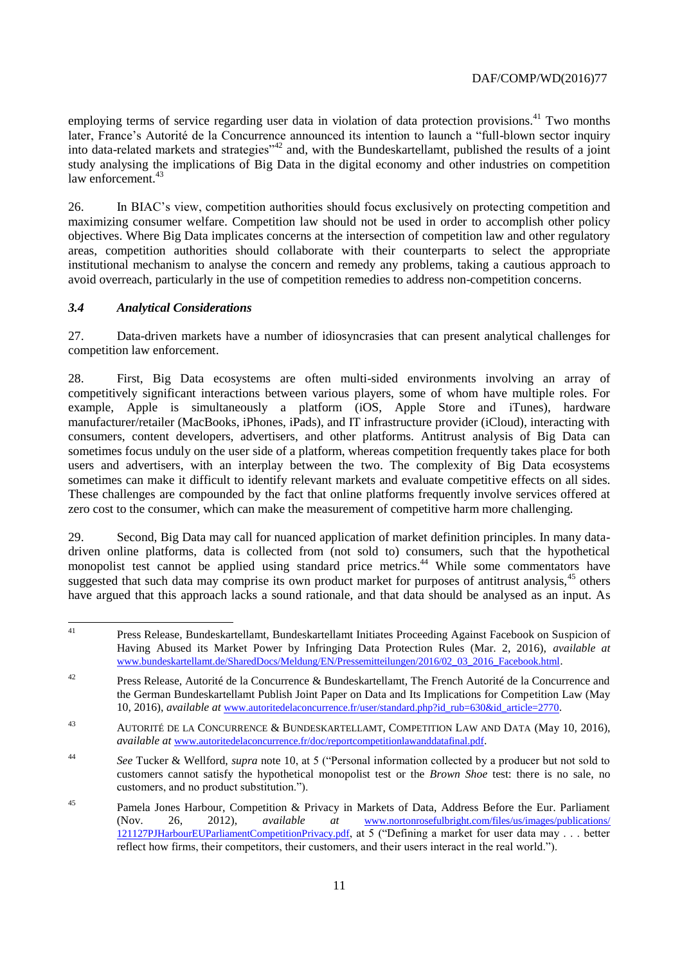employing terms of service regarding user data in violation of data protection provisions.<sup>41</sup> Two months later, France's Autorité de la Concurrence announced its intention to launch a "full-blown sector inquiry into data-related markets and strategies"<sup>42</sup> and, with the Bundeskartellamt, published the results of a joint study analysing the implications of Big Data in the digital economy and other industries on competition law enforcement.<sup>43</sup>

26. In BIAC's view, competition authorities should focus exclusively on protecting competition and maximizing consumer welfare. Competition law should not be used in order to accomplish other policy objectives. Where Big Data implicates concerns at the intersection of competition law and other regulatory areas, competition authorities should collaborate with their counterparts to select the appropriate institutional mechanism to analyse the concern and remedy any problems, taking a cautious approach to avoid overreach, particularly in the use of competition remedies to address non-competition concerns.

#### *3.4 Analytical Considerations*

27. Data-driven markets have a number of idiosyncrasies that can present analytical challenges for competition law enforcement.

28. First, Big Data ecosystems are often multi-sided environments involving an array of competitively significant interactions between various players, some of whom have multiple roles. For example, Apple is simultaneously a platform (iOS, Apple Store and iTunes), hardware manufacturer/retailer (MacBooks, iPhones, iPads), and IT infrastructure provider (iCloud), interacting with consumers, content developers, advertisers, and other platforms. Antitrust analysis of Big Data can sometimes focus unduly on the user side of a platform, whereas competition frequently takes place for both users and advertisers, with an interplay between the two. The complexity of Big Data ecosystems sometimes can make it difficult to identify relevant markets and evaluate competitive effects on all sides. These challenges are compounded by the fact that online platforms frequently involve services offered at zero cost to the consumer, which can make the measurement of competitive harm more challenging.

29. Second, Big Data may call for nuanced application of market definition principles. In many datadriven online platforms, data is collected from (not sold to) consumers, such that the hypothetical monopolist test cannot be applied using standard price metrics.<sup>44</sup> While some commentators have suggested that such data may comprise its own product market for purposes of antitrust analysis,<sup>45</sup> others have argued that this approach lacks a sound rationale, and that data should be analysed as an input. As

 $41$ <sup>41</sup> Press Release, Bundeskartellamt, Bundeskartellamt Initiates Proceeding Against Facebook on Suspicion of Having Abused its Market Power by Infringing Data Protection Rules (Mar. 2, 2016), *available at* [www.bundeskartellamt.de/SharedDocs/Meldung/EN/Pressemitteilungen/2016/02\\_03\\_2016\\_Facebook.html](http://www.bundeskartellamt.de/SharedDocs/Meldung/EN/Pressemitteilungen/2016/02_03_2016_Facebook.html).

<sup>&</sup>lt;sup>42</sup> Press Release, Autorité de la Concurrence & Bundeskartellamt, The French Autorité de la Concurrence and the German Bundeskartellamt Publish Joint Paper on Data and Its Implications for Competition Law (May 10, 2016), *available at* [www.autoritedelaconcurrence.fr/user/standard.php?id\\_rub=630&id\\_article=2770](http://www.autoritedelaconcurrence.fr/user/standard.php?id_rub=630&id_article=2770).

<sup>43</sup> AUTORITÉ DE LA CONCURRENCE & BUNDESKARTELLAMT, COMPETITION LAW AND DATA (May 10, 2016), *available at* [www.autoritedelaconcurrence.fr/doc/reportcompetitionlawanddatafinal.pdf](http://www.autoritedelaconcurrence.fr/doc/reportcompetitionlawanddatafinal.pdf).

<sup>44</sup> *See* Tucker & Wellford, *supra* note 10, at 5 ("Personal information collected by a producer but not sold to customers cannot satisfy the hypothetical monopolist test or the *Brown Shoe* test: there is no sale, no customers, and no product substitution.").

<sup>&</sup>lt;sup>45</sup> Pamela Jones Harbour, Competition & Privacy in Markets of Data, Address Before the Eur. Parliament (Nov. 26, 2012), *available at* [www.nortonrosefulbright.com/files/us/images/publications/](http://www.nortonrosefulbright.com/files/us/images/publications/121127PJHarbourEUParliamentCompetitionPrivacy.pdf) [121127PJHarbourEUParliamentCompetitionPrivacy.pdf](http://www.nortonrosefulbright.com/files/us/images/publications/121127PJHarbourEUParliamentCompetitionPrivacy.pdf), at 5 ("Defining a market for user data may . . . better reflect how firms, their competitors, their customers, and their users interact in the real world.").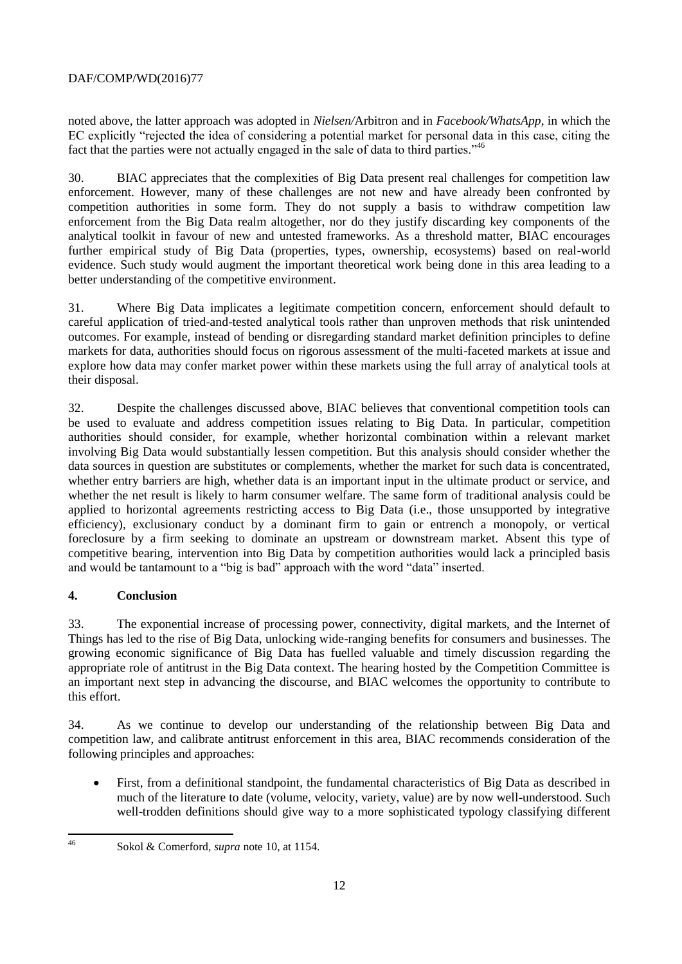noted above, the latter approach was adopted in *Nielsen/*Arbitron and in *Facebook/WhatsApp*, in which the EC explicitly "rejected the idea of considering a potential market for personal data in this case, citing the fact that the parties were not actually engaged in the sale of data to third parties."<sup>46</sup>

30. BIAC appreciates that the complexities of Big Data present real challenges for competition law enforcement. However, many of these challenges are not new and have already been confronted by competition authorities in some form. They do not supply a basis to withdraw competition law enforcement from the Big Data realm altogether, nor do they justify discarding key components of the analytical toolkit in favour of new and untested frameworks. As a threshold matter, BIAC encourages further empirical study of Big Data (properties, types, ownership, ecosystems) based on real-world evidence. Such study would augment the important theoretical work being done in this area leading to a better understanding of the competitive environment.

31. Where Big Data implicates a legitimate competition concern, enforcement should default to careful application of tried-and-tested analytical tools rather than unproven methods that risk unintended outcomes. For example, instead of bending or disregarding standard market definition principles to define markets for data, authorities should focus on rigorous assessment of the multi-faceted markets at issue and explore how data may confer market power within these markets using the full array of analytical tools at their disposal.

32. Despite the challenges discussed above, BIAC believes that conventional competition tools can be used to evaluate and address competition issues relating to Big Data. In particular, competition authorities should consider, for example, whether horizontal combination within a relevant market involving Big Data would substantially lessen competition. But this analysis should consider whether the data sources in question are substitutes or complements, whether the market for such data is concentrated, whether entry barriers are high, whether data is an important input in the ultimate product or service, and whether the net result is likely to harm consumer welfare. The same form of traditional analysis could be applied to horizontal agreements restricting access to Big Data (i.e., those unsupported by integrative efficiency), exclusionary conduct by a dominant firm to gain or entrench a monopoly, or vertical foreclosure by a firm seeking to dominate an upstream or downstream market. Absent this type of competitive bearing, intervention into Big Data by competition authorities would lack a principled basis and would be tantamount to a "big is bad" approach with the word "data" inserted.

# **4. Conclusion**

33. The exponential increase of processing power, connectivity, digital markets, and the Internet of Things has led to the rise of Big Data, unlocking wide-ranging benefits for consumers and businesses. The growing economic significance of Big Data has fuelled valuable and timely discussion regarding the appropriate role of antitrust in the Big Data context. The hearing hosted by the Competition Committee is an important next step in advancing the discourse, and BIAC welcomes the opportunity to contribute to this effort.

34. As we continue to develop our understanding of the relationship between Big Data and competition law, and calibrate antitrust enforcement in this area, BIAC recommends consideration of the following principles and approaches:

 First, from a definitional standpoint, the fundamental characteristics of Big Data as described in much of the literature to date (volume, velocity, variety, value) are by now well-understood. Such well-trodden definitions should give way to a more sophisticated typology classifying different

<sup>46</sup> 

Sokol & Comerford, *supra* note [10,](#page-4-0) at 1154.